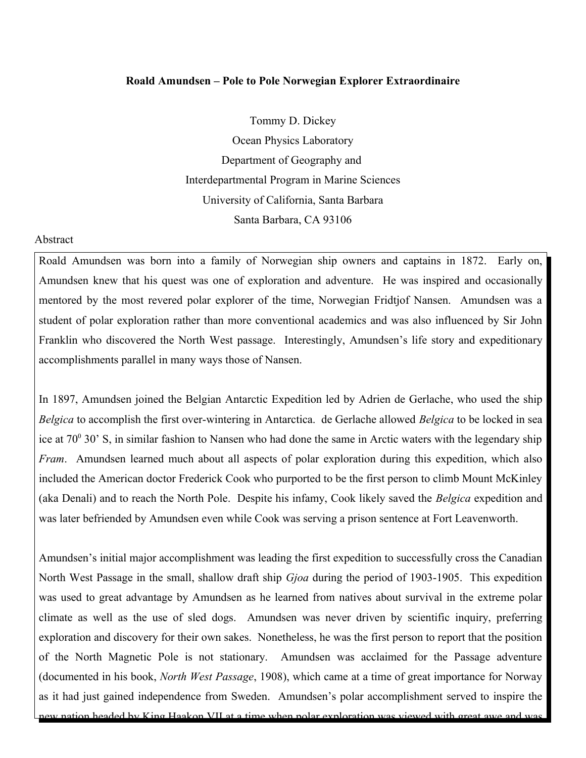## **Roald Amundsen – Pole to Pole Norwegian Explorer Extraordinaire**

Tommy D. Dickey

Ocean Physics Laboratory Department of Geography and Interdepartmental Program in Marine Sciences University of California, Santa Barbara Santa Barbara, CA 93106

## **Abstract**

Roald Amundsen was born into a family of Norwegian ship owners and captains in 1872. Early on, Amundsen knew that his quest was one of exploration and adventure. He was inspired and occasionally mentored by the most revered polar explorer of the time, Norwegian Fridtjof Nansen. Amundsen was a student of polar exploration rather than more conventional academics and was also influenced by Sir John Franklin who discovered the North West passage. Interestingly, Amundsen's life story and expeditionary accomplishments parallel in many ways those of Nansen.

In 1897, Amundsen joined the Belgian Antarctic Expedition led by Adrien de Gerlache, who used the ship *Belgica* to accomplish the first over-wintering in Antarctica. de Gerlache allowed *Belgica* to be locked in sea ice at 70<sup>0</sup> 30' S, in similar fashion to Nansen who had done the same in Arctic waters with the legendary ship *Fram*. Amundsen learned much about all aspects of polar exploration during this expedition, which also included the American doctor Frederick Cook who purported to be the first person to climb Mount McKinley (aka Denali) and to reach the North Pole. Despite his infamy, Cook likely saved the *Belgica* expedition and was later befriended by Amundsen even while Cook was serving a prison sentence at Fort Leavenworth.

Amundsen's initial major accomplishment was leading the first expedition to successfully cross the Canadian North West Passage in the small, shallow draft ship *Gjoa* during the period of 1903-1905. This expedition was used to great advantage by Amundsen as he learned from natives about survival in the extreme polar climate as well as the use of sled dogs. Amundsen was never driven by scientific inquiry, preferring exploration and discovery for their own sakes. Nonetheless, he was the first person to report that the position of the North Magnetic Pole is not stationary. Amundsen was acclaimed for the Passage adventure (documented in his book, *North West Passage*, 1908), which came at a time of great importance for Norway as it had just gained independence from Sweden. Amundsen's polar accomplishment served to inspire the new nation headed by King Haakon VII at a time when polar exploration was viewed with great awe and was